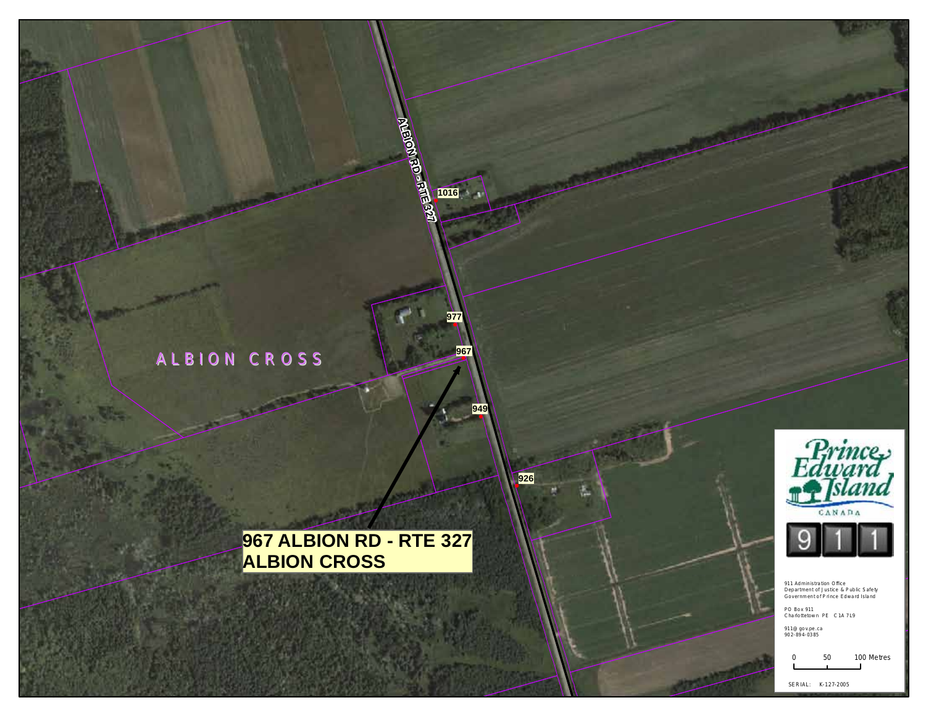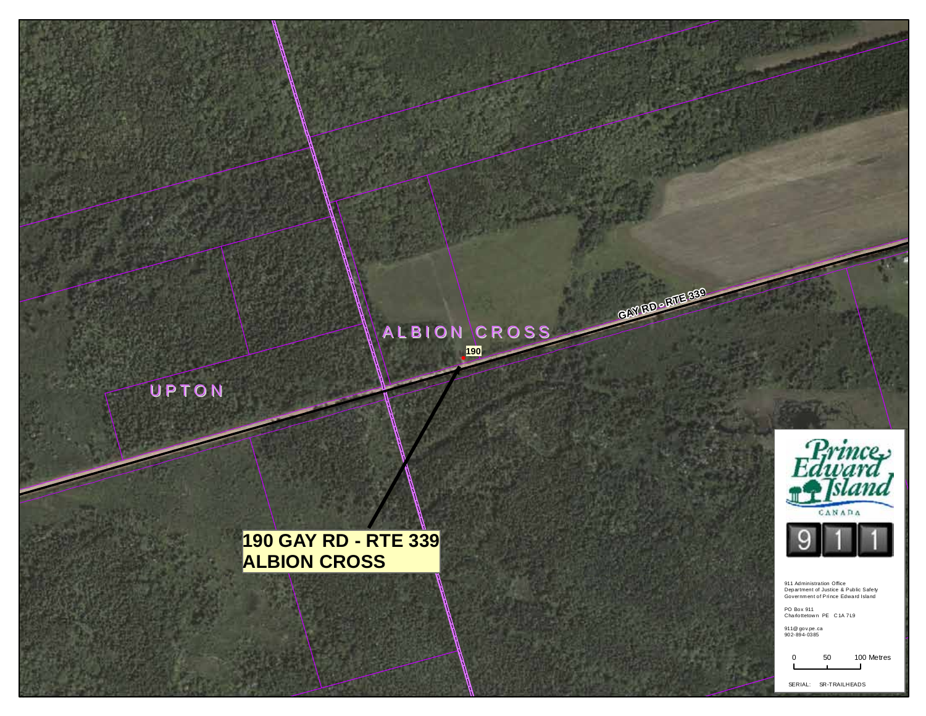